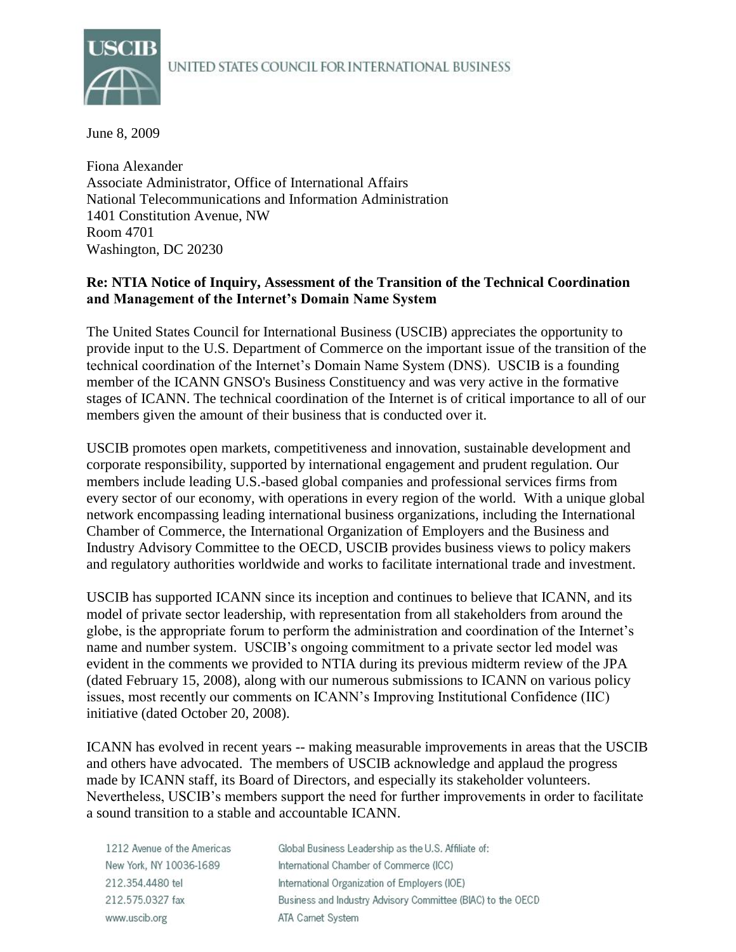### UNITED STATES COUNCIL FOR INTERNATIONAL BUSINESS



June 8, 2009

Fiona Alexander Associate Administrator, Office of International Affairs National Telecommunications and Information Administration 1401 Constitution Avenue, NW Room 4701 Washington, DC 20230

## **Re: NTIA Notice of Inquiry, Assessment of the Transition of the Technical Coordination and Management of the Internet's Domain Name System**

The United States Council for International Business (USCIB) appreciates the opportunity to provide input to the U.S. Department of Commerce on the important issue of the transition of the technical coordination of the Internet's Domain Name System (DNS). USCIB is a founding member of the ICANN GNSO's Business Constituency and was very active in the formative stages of ICANN. The technical coordination of the Internet is of critical importance to all of our members given the amount of their business that is conducted over it.

USCIB promotes open markets, competitiveness and innovation, sustainable development and corporate responsibility, supported by international engagement and prudent regulation. Our members include leading U.S.-based global companies and professional services firms from every sector of our economy, with operations in every region of the world. With a unique global network encompassing leading international business organizations, including the International Chamber of Commerce, the International Organization of Employers and the Business and Industry Advisory Committee to the OECD, USCIB provides business views to policy makers and regulatory authorities worldwide and works to facilitate international trade and investment.

USCIB has supported ICANN since its inception and continues to believe that ICANN, and its model of private sector leadership, with representation from all stakeholders from around the globe, is the appropriate forum to perform the administration and coordination of the Internet's name and number system. USCIB's ongoing commitment to a private sector led model was evident in the comments we provided to NTIA during its previous midterm review of the JPA (dated February 15, 2008), along with our numerous submissions to ICANN on various policy issues, most recently our comments on ICANN's Improving Institutional Confidence (IIC) initiative (dated October 20, 2008).

ICANN has evolved in recent years -- making measurable improvements in areas that the USCIB and others have advocated. The members of USCIB acknowledge and applaud the progress made by ICANN staff, its Board of Directors, and especially its stakeholder volunteers. Nevertheless, USCIB's members support the need for further improvements in order to facilitate a sound transition to a stable and accountable ICANN.

| 1212 Avenue of the Americas | Global Business Leadership as the U.S. Affiliate of:        |
|-----------------------------|-------------------------------------------------------------|
| New York, NY 10036-1689     | International Chamber of Commerce (ICC)                     |
| 212.354.4480 tel            | International Organization of Employers (IOE)               |
| 212.575.0327 fax            | Business and Industry Advisory Committee (BIAC) to the OECD |
| www.uscib.org               | ATA Carnet System                                           |
|                             |                                                             |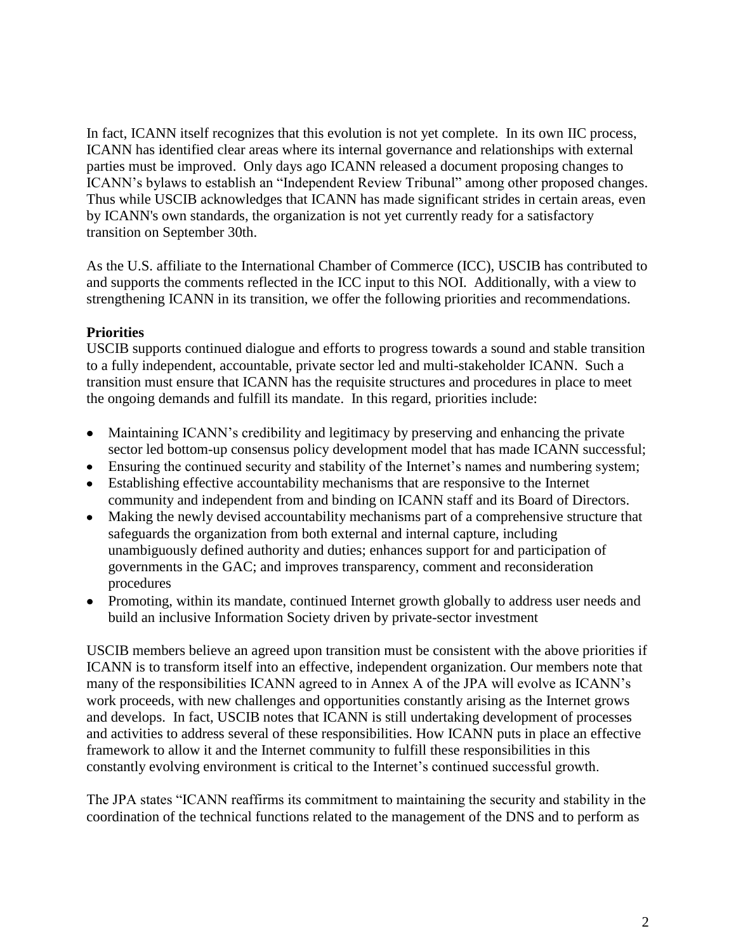In fact, ICANN itself recognizes that this evolution is not yet complete. In its own IIC process, ICANN has identified clear areas where its internal governance and relationships with external parties must be improved. Only days ago ICANN released a document proposing changes to ICANN's bylaws to establish an "Independent Review Tribunal" among other proposed changes. Thus while USCIB acknowledges that ICANN has made significant strides in certain areas, even by ICANN's own standards, the organization is not yet currently ready for a satisfactory transition on September 30th.

As the U.S. affiliate to the International Chamber of Commerce (ICC), USCIB has contributed to and supports the comments reflected in the ICC input to this NOI. Additionally, with a view to strengthening ICANN in its transition, we offer the following priorities and recommendations.

# **Priorities**

USCIB supports continued dialogue and efforts to progress towards a sound and stable transition to a fully independent, accountable, private sector led and multi-stakeholder ICANN. Such a transition must ensure that ICANN has the requisite structures and procedures in place to meet the ongoing demands and fulfill its mandate. In this regard, priorities include:

- Maintaining ICANN's credibility and legitimacy by preserving and enhancing the private sector led bottom-up consensus policy development model that has made ICANN successful;
- Ensuring the continued security and stability of the Internet's names and numbering system;
- Establishing effective accountability mechanisms that are responsive to the Internet community and independent from and binding on ICANN staff and its Board of Directors.
- Making the newly devised accountability mechanisms part of a comprehensive structure that  $\bullet$ safeguards the organization from both external and internal capture, including unambiguously defined authority and duties; enhances support for and participation of governments in the GAC; and improves transparency, comment and reconsideration procedures
- Promoting, within its mandate, continued Internet growth globally to address user needs and build an inclusive Information Society driven by private-sector investment

USCIB members believe an agreed upon transition must be consistent with the above priorities if ICANN is to transform itself into an effective, independent organization. Our members note that many of the responsibilities ICANN agreed to in Annex A of the JPA will evolve as ICANN's work proceeds, with new challenges and opportunities constantly arising as the Internet grows and develops. In fact, USCIB notes that ICANN is still undertaking development of processes and activities to address several of these responsibilities. How ICANN puts in place an effective framework to allow it and the Internet community to fulfill these responsibilities in this constantly evolving environment is critical to the Internet's continued successful growth.

The JPA states "ICANN reaffirms its commitment to maintaining the security and stability in the coordination of the technical functions related to the management of the DNS and to perform as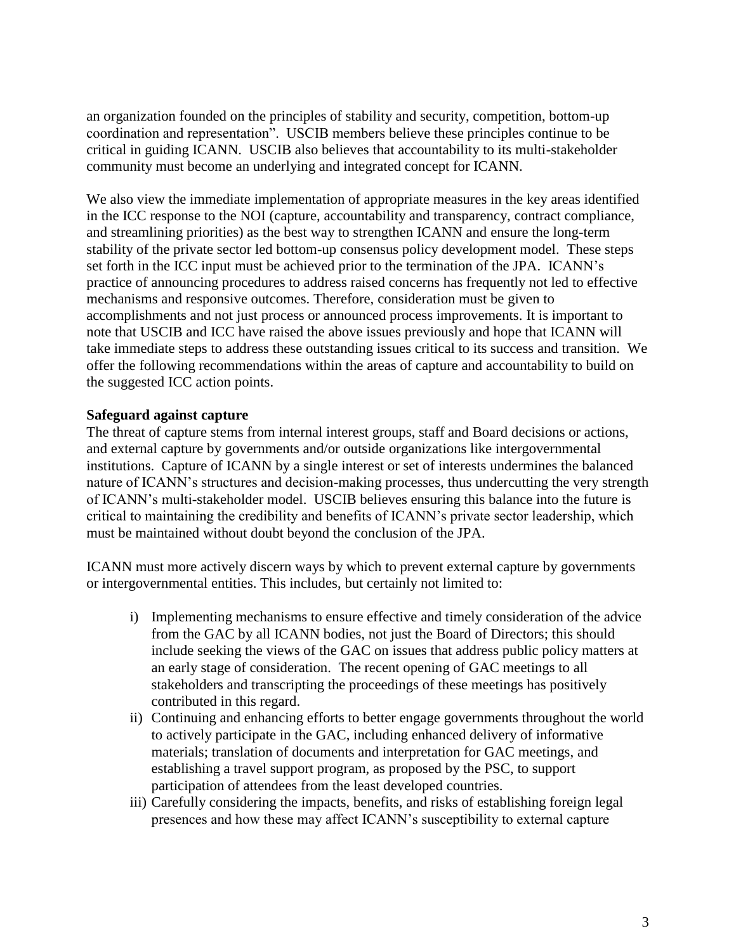an organization founded on the principles of stability and security, competition, bottom-up coordination and representation". USCIB members believe these principles continue to be critical in guiding ICANN. USCIB also believes that accountability to its multi-stakeholder community must become an underlying and integrated concept for ICANN.

We also view the immediate implementation of appropriate measures in the key areas identified in the ICC response to the NOI (capture, accountability and transparency, contract compliance, and streamlining priorities) as the best way to strengthen ICANN and ensure the long-term stability of the private sector led bottom-up consensus policy development model. These steps set forth in the ICC input must be achieved prior to the termination of the JPA. ICANN's practice of announcing procedures to address raised concerns has frequently not led to effective mechanisms and responsive outcomes. Therefore, consideration must be given to accomplishments and not just process or announced process improvements. It is important to note that USCIB and ICC have raised the above issues previously and hope that ICANN will take immediate steps to address these outstanding issues critical to its success and transition. We offer the following recommendations within the areas of capture and accountability to build on the suggested ICC action points.

### **Safeguard against capture**

The threat of capture stems from internal interest groups, staff and Board decisions or actions, and external capture by governments and/or outside organizations like intergovernmental institutions. Capture of ICANN by a single interest or set of interests undermines the balanced nature of ICANN's structures and decision-making processes, thus undercutting the very strength of ICANN's multi-stakeholder model. USCIB believes ensuring this balance into the future is critical to maintaining the credibility and benefits of ICANN's private sector leadership, which must be maintained without doubt beyond the conclusion of the JPA.

ICANN must more actively discern ways by which to prevent external capture by governments or intergovernmental entities. This includes, but certainly not limited to:

- i) Implementing mechanisms to ensure effective and timely consideration of the advice from the GAC by all ICANN bodies, not just the Board of Directors; this should include seeking the views of the GAC on issues that address public policy matters at an early stage of consideration. The recent opening of GAC meetings to all stakeholders and transcripting the proceedings of these meetings has positively contributed in this regard.
- ii) Continuing and enhancing efforts to better engage governments throughout the world to actively participate in the GAC, including enhanced delivery of informative materials; translation of documents and interpretation for GAC meetings, and establishing a travel support program, as proposed by the PSC, to support participation of attendees from the least developed countries.
- iii) Carefully considering the impacts, benefits, and risks of establishing foreign legal presences and how these may affect ICANN's susceptibility to external capture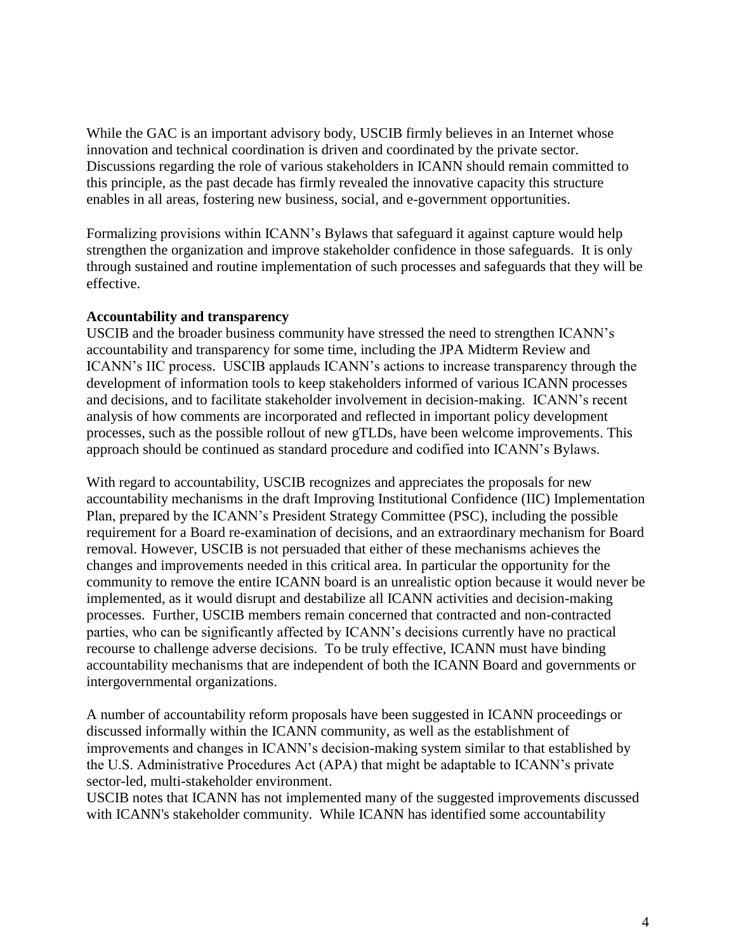While the GAC is an important advisory body, USCIB firmly believes in an Internet whose innovation and technical coordination is driven and coordinated by the private sector. Discussions regarding the role of various stakeholders in ICANN should remain committed to this principle, as the past decade has firmly revealed the innovative capacity this structure enables in all areas, fostering new business, social, and e-government opportunities.

Formalizing provisions within ICANN's Bylaws that safeguard it against capture would help strengthen the organization and improve stakeholder confidence in those safeguards. It is only through sustained and routine implementation of such processes and safeguards that they will be effective.

### **Accountability and transparency**

USCIB and the broader business community have stressed the need to strengthen ICANN's accountability and transparency for some time, including the JPA Midterm Review and ICANN's IIC process. USCIB applauds ICANN's actions to increase transparency through the development of information tools to keep stakeholders informed of various ICANN processes and decisions, and to facilitate stakeholder involvement in decision-making. ICANN's recent analysis of how comments are incorporated and reflected in important policy development processes, such as the possible rollout of new gTLDs, have been welcome improvements. This approach should be continued as standard procedure and codified into ICANN's Bylaws.

With regard to accountability, USCIB recognizes and appreciates the proposals for new accountability mechanisms in the draft Improving Institutional Confidence (IIC) Implementation Plan, prepared by the ICANN's President Strategy Committee (PSC), including the possible requirement for a Board re-examination of decisions, and an extraordinary mechanism for Board removal. However, USCIB is not persuaded that either of these mechanisms achieves the changes and improvements needed in this critical area. In particular the opportunity for the community to remove the entire ICANN board is an unrealistic option because it would never be implemented, as it would disrupt and destabilize all ICANN activities and decision-making processes. Further, USCIB members remain concerned that contracted and non-contracted parties, who can be significantly affected by ICANN's decisions currently have no practical recourse to challenge adverse decisions. To be truly effective, ICANN must have binding accountability mechanisms that are independent of both the ICANN Board and governments or intergovernmental organizations.

A number of accountability reform proposals have been suggested in ICANN proceedings or discussed informally within the ICANN community, as well as the establishment of improvements and changes in ICANN's decision-making system similar to that established by the U.S. Administrative Procedures Act (APA) that might be adaptable to ICANN's private sector-led, multi-stakeholder environment.

USCIB notes that ICANN has not implemented many of the suggested improvements discussed with ICANN's stakeholder community. While ICANN has identified some accountability